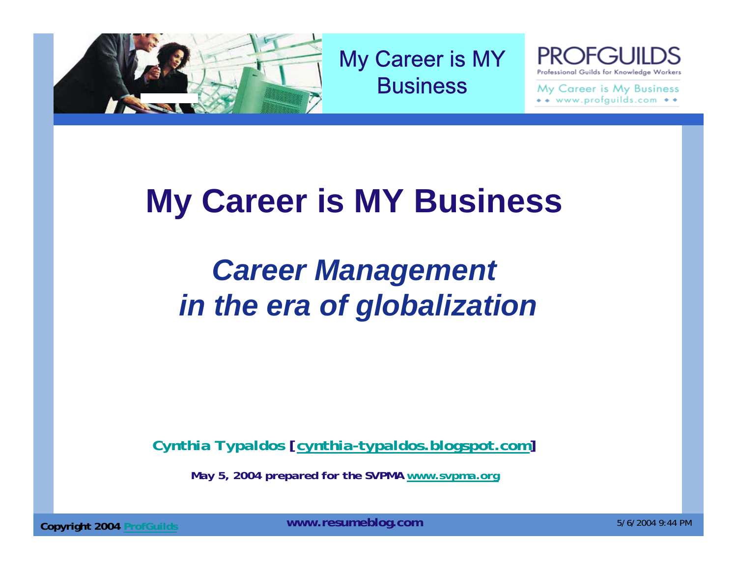

My Career is MY **Business** 

PRO Professional Guilds for Knowledge Workers

My Career is My Business  $\bullet \bullet$  www.profguilds.com  $\bullet \bullet$ 

# **My Career is MY Business**

# *Career Management in the era of globalization*

*Cynthia Typaldos [cynthia-typaldos.blogspot.com]*

*May 5, 2004 prepared for the SVPMA www.svpma.org*

**Copyright 2004** ProfGuilds **Example 2004** Professional MWW.resumeblog.com **Copyright 2004** Profession 2004 9:44 PM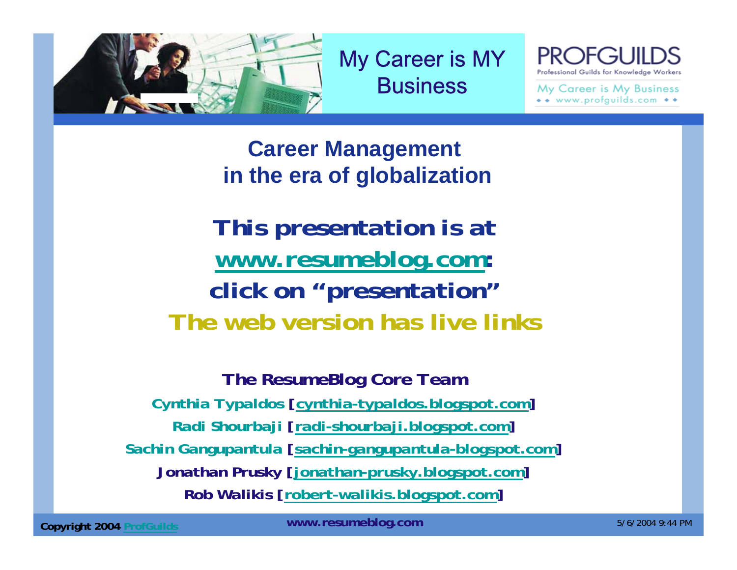

My Career is MY **Business** 

Professional Guilds for Knowledge Worker:

My Career is My Business  $\bullet\bullet$  www.profguilds.com  $\bullet\bullet$ 

**Career Management in the era of globalization**

*This presentation is at www.resumeblog.com: click on "presentation" The web version has live links*

*The ResumeBlog Core Team Cynthia Typaldos [cynthia-typaldos.blogspot.com] Radi Shourbaji [radi-shourbaji.blogspot.com] Sachin Gangupantula [sachin-gangupantula-blogspot.com] Jonathan Prusky [jonathan-prusky.blogspot.com] Rob Walikis [robert-walikis.blogspot.com]*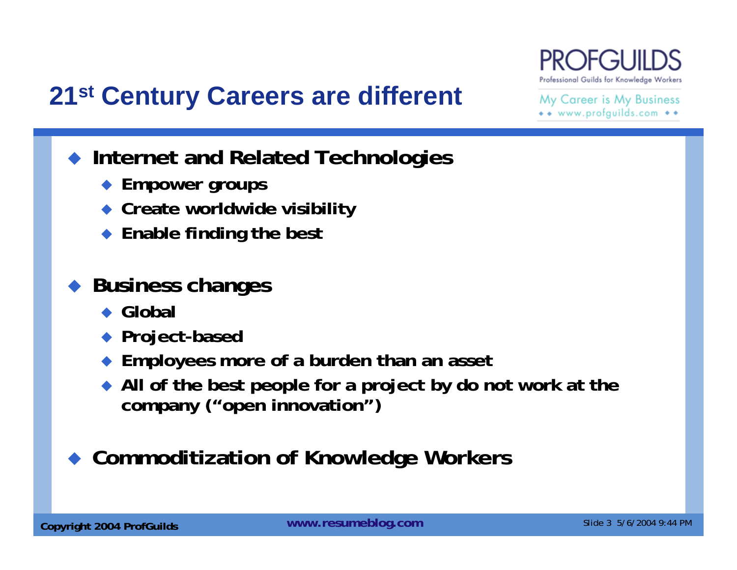

### **21st Century Careers are different**

My Career is My Business \*\* www.profguilds.com \*\*

- **Internet and Related Technologies**
	- **Empower groups**
	- **Create worldwide visibility**
	- ◆ Enable finding the best

#### ♦ **Business changes**

- ◆ Global
- **Project-based**
- **Employees more of a burden than an asset**
- **All of the best people for a project by do not work at the company ("open innovation")**

#### ♦ **Commoditization of Knowledge Workers**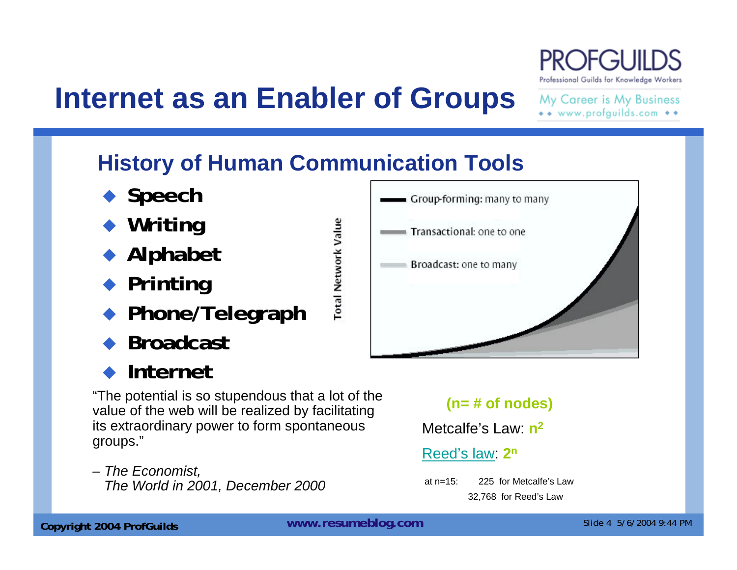# **Internet as an Enabler of Groups**

My Career is My Business \*\* www.profguilds.com \*\*

Professional Guilds for Knowledge Workers

### **History of Human Communication Tools**

**Total Network Value** 

- ◆ Speech
- ◆ Writing
- **Alphabet**
- ◆ Printing
- ♦ **Phone/Telegraph**
- ♦ **Broadcast**

#### ♦ **Internet**

"The potential is so stupendous that a lot of the value of the web will be realized by facilitating its extraordinary power to form spontaneous groups."

*– The Economist, The World in 2001, December 2000*



#### **(n= # of nodes)**

Metcalfe's Law: **n<sup>2</sup>**

#### Reed's law: **2n**

at n=15: 225 for Metcalfe's Law32,768 for Reed's Law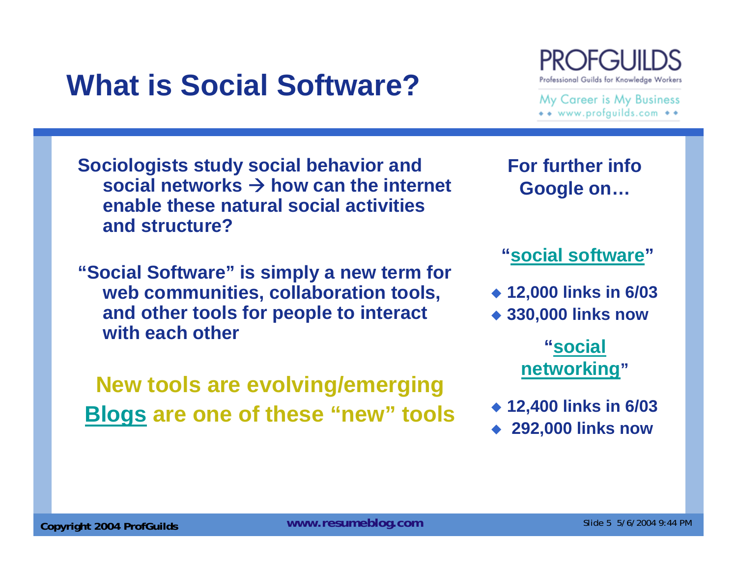## **What is Social Software?**

**Sociologists study social behavior and** 

**For further info Google on…**

# **"social software"**

- **12,000 links in 6/03**
- **330,000 links now**

#### **"social networking"**

- **12,400 links in 6/03**
- **292,000 links now**



My Career is My Business \*\* www.profguilds.com \*\*

social networks  $\rightarrow$  how can the internet **enable these natural social activities and structure?**

**"Social Software" is simply a new term for web communities, collaboration tools, and other tools for people to interact with each other**

**New tools are evolving/emerging Blogs are one of these "new" tools**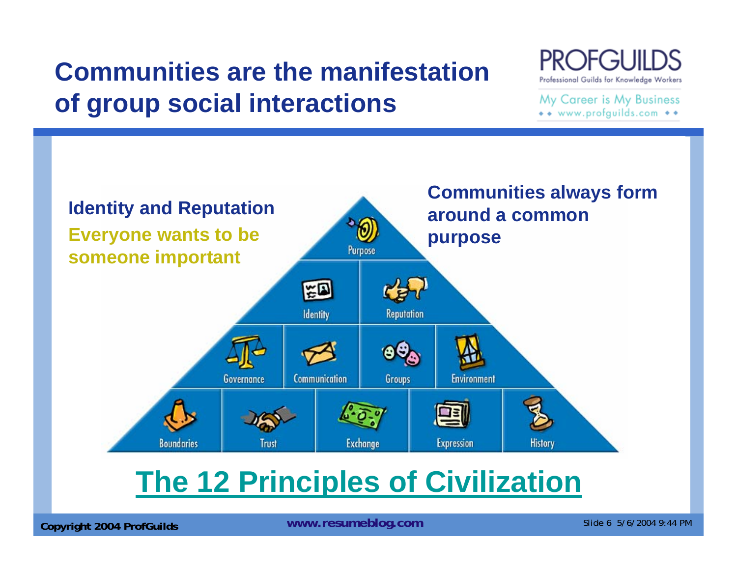## **Communities are the manifestationof group social interactions**

Professional Guilds for Knowledge Workers

My Career is My Business \*\* www.profguilds.com \*\*



## **The 12 Principles of Civilization**

**Copyright 2004 ProfGuilds Mateur Schware Slide 6 5/6/2004 9:44 PM** Copyright 2004 ProfGuilds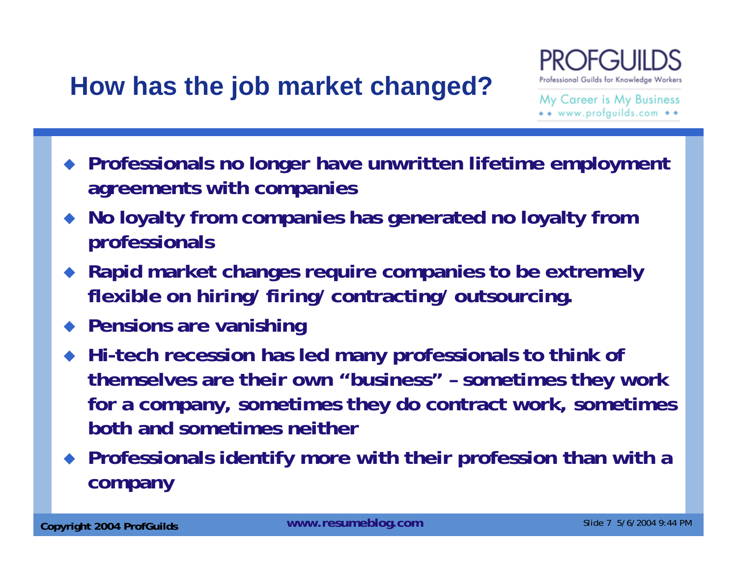## **How has the job market changed?**



My Career is My Business \*\* www.profquilds.com \*\*

- **Professionals no longer have unwritten lifetime employment agreements with companies**
- $\blacklozenge$  **No loyalty from companies has generated no loyalty from professionals**
- $\blacklozenge$  **Rapid market changes require companies to be extremely flexible on hiring/ firing/ contracting/ outsourcing.**
- **Pensions are vanishing**
- **Hi-tech recession has led many professionals to think of themselves are their own "business" – sometimes they work for a company, sometimes they do contract work, sometimes both and sometimes neither**
- **Professionals identify more with their profession than with a company**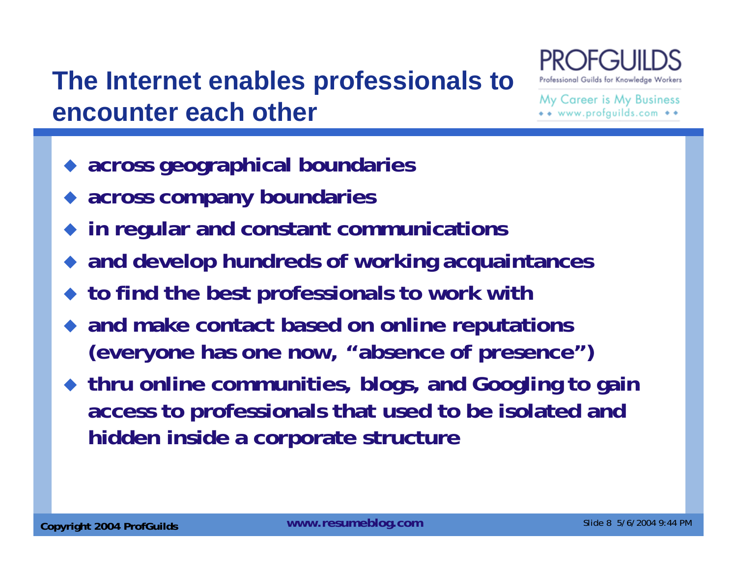## **The Internet enables professionals to encounter each other**



My Career is My Business www.profquilds.com

- ♦ **across geographical boundaries**
- **across company boundaries**
- **in regular and constant communications**
- **and develop hundreds of working acquaintances**
- ◆ to find the best professionals to work with
- ♦ **and make contact based on online reputations (everyone has one now, "absence of presence")**
- **thru online communities, blogs, and Googling to gain access to professionals that used to be isolated and hidden inside a corporate structure**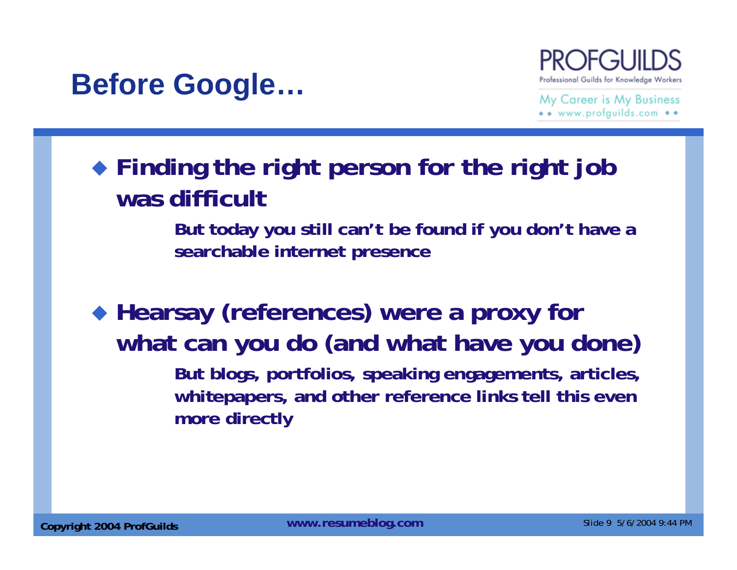## **Before Google…**



My Career is My Business \*\* www.profquilds.com \*\*

### **Finding the right person for the right job was difficult**

**But today you still can't be found if you don't have a searchable internet presence**

 **Hearsay (references) were a proxy for what can you do (and what have you done) But blogs, portfolios, speaking engagements, articles,** 

**whitepapers, and other reference links tell this even more directly**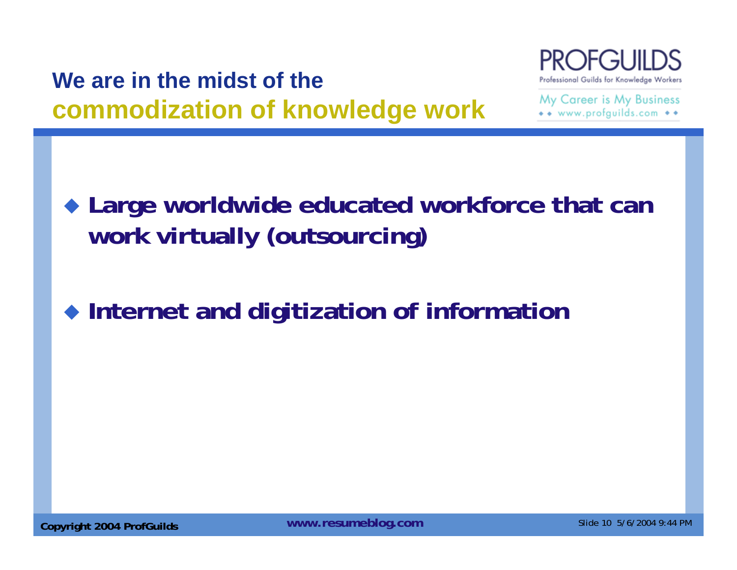### **We are in the midst of the commodization of knowledge work**



My Career is My Business  $\bullet\bullet$  www.profauilds.com  $\bullet\bullet$ 

 **Large worldwide educated workforce that can work virtually (outsourcing)**

**Internet and digitization of information**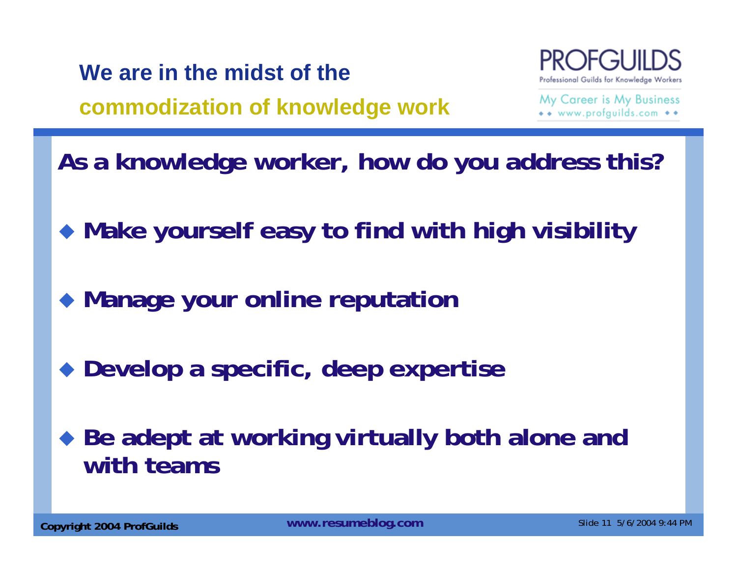**We are in the midst of the** 

**commodization of knowledge work**



My Career is My Business • • www.profquilds.com

- **As a knowledge worker, how do you address this?**
- **Make yourself easy to find with high visibility**
- **Manage your online reputation**
- **Develop a specific, deep expertise**
- **Be adept at working virtually both alone and with teams**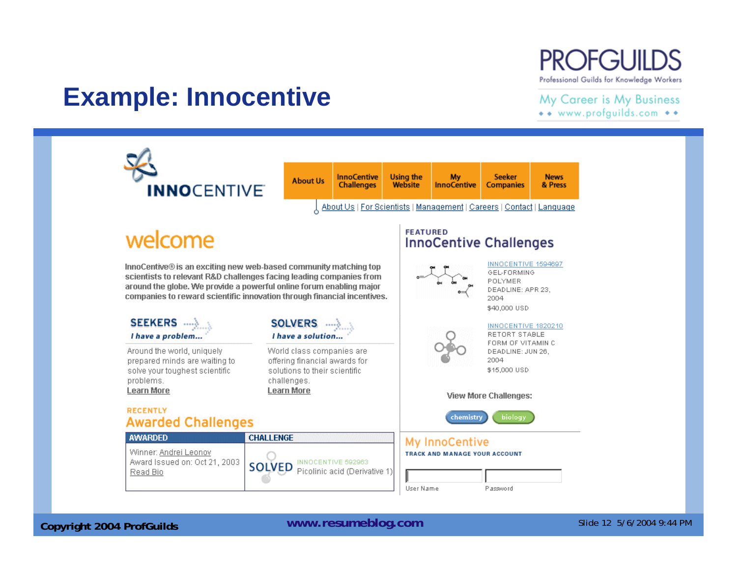#### **PROFGUILDS** Professional Guilds for Knowledge Workers

#### **Example: Innocentive**

My Career is My Business \*\* www.profguilds.com \*\*



**Copyright 2004 ProfGuilds Mateur Schware Slide 12 5/6/2004 9:44 PM** Copyright 2004 ProfGuilds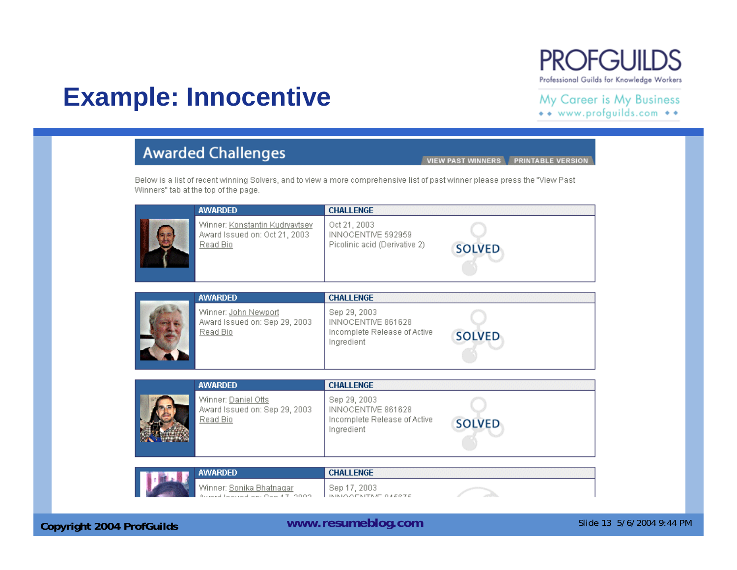### **Example: Innocentive**

**PROFGUILDS** 

Professional Guilds for Knowledge Workers

#### My Career is My Business \*\* www.profguilds.com \*\*

#### **Awarded Challenges** VIEW PAST WINNERS PRINTABLE VERSION Below is a list of recent winning Solvers, and to view a more comprehensive list of past winner please press the "View Past Winners" tab at the top of the page. **AWARDED CHALLENGE** Winner: Konstantin Kudryavtsev Oct 21, 2003 Award Issued on: Oct 21, 2003 INNOCENTIVE 592959 Read Bio Picolinic acid (Derivative 2) **SOLVED AWARDED CHALLENGE** Winner: John Newport Sep 29, 2003 Award Issued on: Sep 29, 2003 INNOCENTIVE 861628 Read Bio Incomplete Release of Active **SOLVED** Ingredient **AWARDED CHALLENGE** Winner: Daniel Otts Sep 29, 2003 Award Issued on: Sep 29, 2003 INNOCENTIVE 861628 Read Bio Incomplete Release of Active **SOLVED** Ingredient **AWARDED CHALLENGE** Winner: <u>Sonika Bhatnaqar</u> Sep 17, 2003 cound on: Don 47, 2002 INIMIO OF NITING OVERFE

**Copyright 2004 ProfGuilds WWW.resumeblog.com** Slide 13 5/6/2004 9:44 PM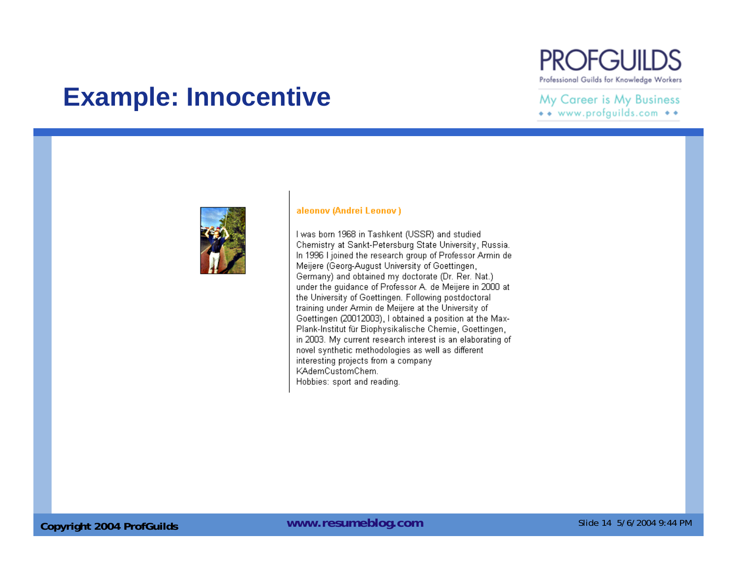### **Example: Innocentive**

#### **PROFGUILDS** Professional Guilds for Knowledge Workers

#### My Career is My Business \*\* www.profguilds.com \*\*



#### aleonov (Andrei Leonov)

I was born 1968 in Tashkent (USSR) and studied Chemistry at Sankt-Petersburg State University, Russia. In 1996 I joined the research group of Professor Armin de Meijere (Georg-August University of Goettingen, Germany) and obtained my doctorate (Dr. Rer. Nat.) under the guidance of Professor A. de Meijere in 2000 at the University of Goettingen. Following postdoctoral training under Armin de Meijere at the University of Goettingen (20012003), I obtained a position at the Max-Plank-Institut für Biophysikalische Chemie, Goettingen, in 2003. My current research interest is an elaborating of novel synthetic methodologies as well as different interesting projects from a company KAdemCustomChem. Hobbies: sport and reading.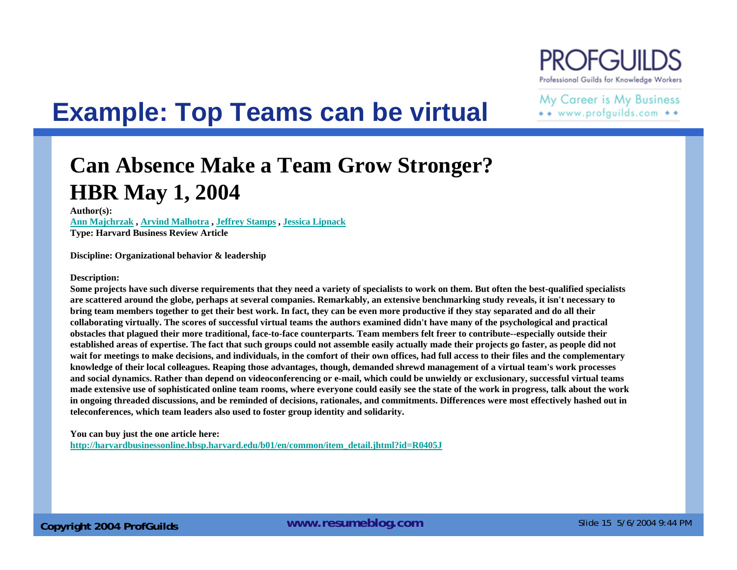

## **Example: Top Teams can be virtual**

My Career is My Business \*\* www.profguilds.com \*\*

#### **Can Absence Make a Team Grow Stronger? HBR May 1, 2004**

**Author(s): Ann Majchrzak , Arvind Malhotra , Jeffrey Stamps , Jessica Lipnack Type: Harvard Business Review Article** 

**Discipline: Organizational behavior & leadership** 

#### **Description:**

**Some projects have such diverse requirements that they need a variety of specialists to work on them. But often the best-qualified specialists are scattered around the globe, perhaps at several companies. Remarkably, an extensive benchmarking study reveals, it isn't necessary to bring team members together to get their best work. In fact, they can be even more productive if they stay separated and do all their collaborating virtually. The scores of successful virtual teams the authors examined didn't have many of the psychological and practical obstacles that plagued their more traditional, face-to-face counterparts. Team members felt freer to contribute--especially outside their established areas of expertise. The fact that such groups could not assemble easily actually made their projects go faster, as people did not wait for meetings to make decisions, and individuals, in the comfort of their own offices, had full access to their files and the complementary knowledge of their local colleagues. Reaping those advantages, though, demanded shrewd management of a virtual team's work processes and social dynamics. Rather than depend on videoconferencing or e-mail, which could be unwieldy or exclusionary, successful virtual teams made extensive use of sophisticated online team rooms, where everyone could easily see the state of the work in progress, talk about the work in ongoing threaded discussions, and be reminded of decisions, rationales, and commitments. Differences were most effectively hashed out in teleconferences, which team leaders also used to foster group identity and solidarity.**

**You can buy just the one article here:**

**http://harvardbusinessonline.hbsp.harvard.edu/b01/en/common/item\_detail.jhtml?id=R0405J**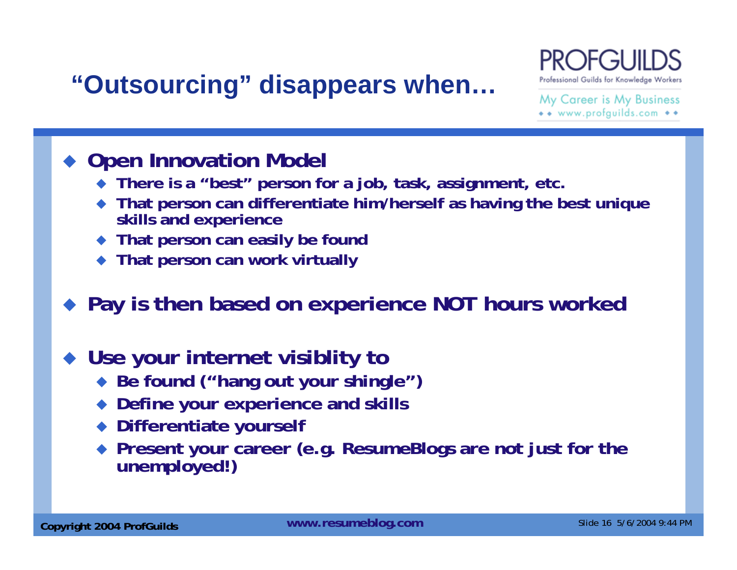## **"Outsourcing" disappears when…**



My Career is My Business \*\* www.profguilds.com \*\*

#### **Open Innovation Model**

- **There is a "best" person for a job, task, assignment, etc.**
- ♦ **That person can differentiate him/herself as having the best unique skills and experience**
- ♦ **That person can easily be found**
- ♦ **That person can work virtually**

#### **Pay is then based on experience NOT hours worked**

#### ♦ **Use your internet visiblity to**

- **Be found ("hang out your shingle")**
- ♦ **Define your experience and skills**
- ♦ **Differentiate yourself**
- ♦ **Present your career (e.g. ResumeBlogs are not just for the unemployed!)**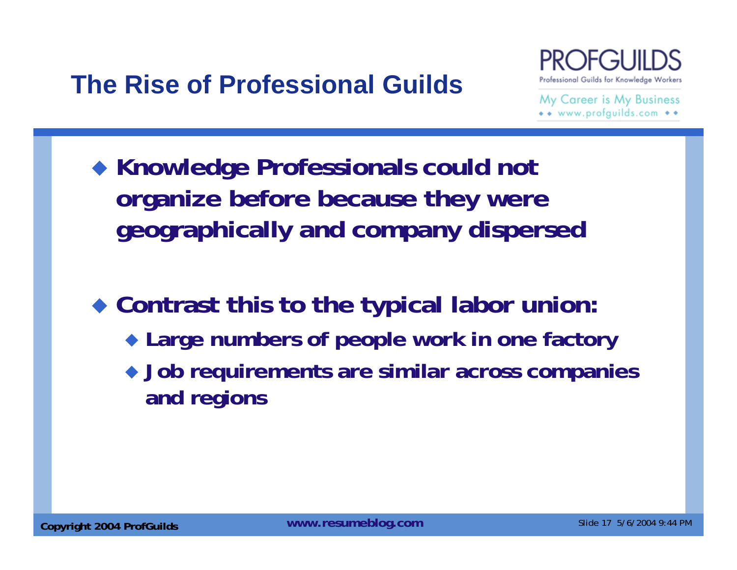## **The Rise of Professional Guilds**



My Career is My Business  $\bullet\bullet$  www.profauilds.com  $\bullet\bullet$ 

 **Knowledge Professionals could not organize before because they were geographically and company dispersed**

 **Contrast this to the typical labor union: Large numbers of people work in one factory Job requirements are similar across companies and regions**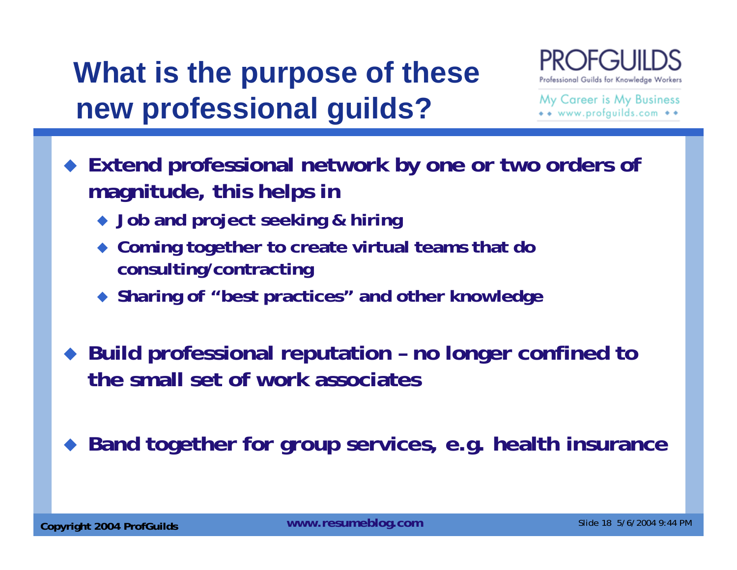# **What is the purpose of these new professional guilds?**



My Career is My Business www.profquilds.com

- **Extend professional network by one or two orders of magnitude, this helps in**
	- **Job and project seeking & hiring**
	- **Coming together to create virtual teams that do consulting/contracting**
	- **Sharing of "best practices" and other knowledge**
- ◆ Build professional reputation no longer confined to **the small set of work associates**

♦ **Band together for group services, e.g. health insurance**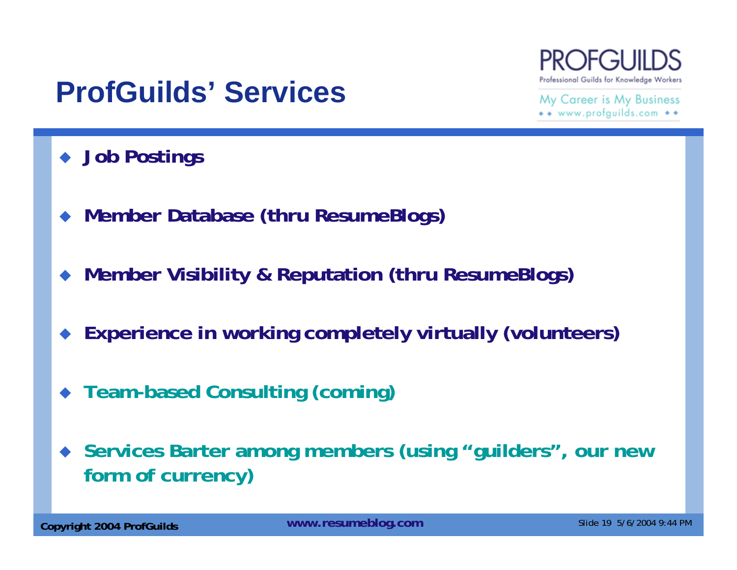## **ProfGuilds' Services**

My Career is My Business www.profquilds.com

Professional Guilds for Knowledge Workers

- **Job Postings**
- ♦ **Member Database (thru ResumeBlogs)**
- $\blacklozenge$ **Member Visibility & Reputation (thru ResumeBlogs)**
- $\blacklozenge$ **Experience in working completely virtually (volunteers)**
- **Team-based Consulting (coming)**
- **Services Barter among members (using "guilders", our new form of currency)**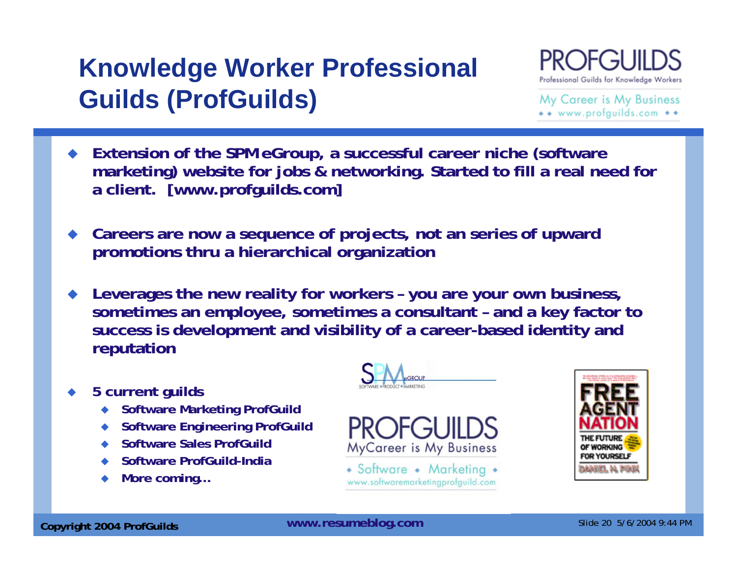## **Knowledge Worker Professional Guilds (ProfGuilds)**



My Career is My Business \*\* www.profguilds.com \*\*

- **Extension of the SPM eGroup, a successful career niche (software marketing) website for jobs & networking. Started to fill a real need for a client. [www.profguilds.com]**
- ♦ **Careers are now a sequence of projects, not an series of upward promotions thru a hierarchical organization**
- ◆ **Leverages the new reality for workers – you are your own business, sometimes an employee, sometimes a consultant – and a key factor to success is development and visibility of a career-based identity and reputation**
- ◆ **5 current guilds**
	- ◆ **Software Marketing ProfGuild**
	- ◆ **Software Engineering ProfGuild**
	- $\blacklozenge$ **Software Sales ProfGuild**
	- ◆ **Software ProfGuild-India**
	- ◆ **More coming…**





• Software • Marketing • www.softwaremarketingprofguild.com

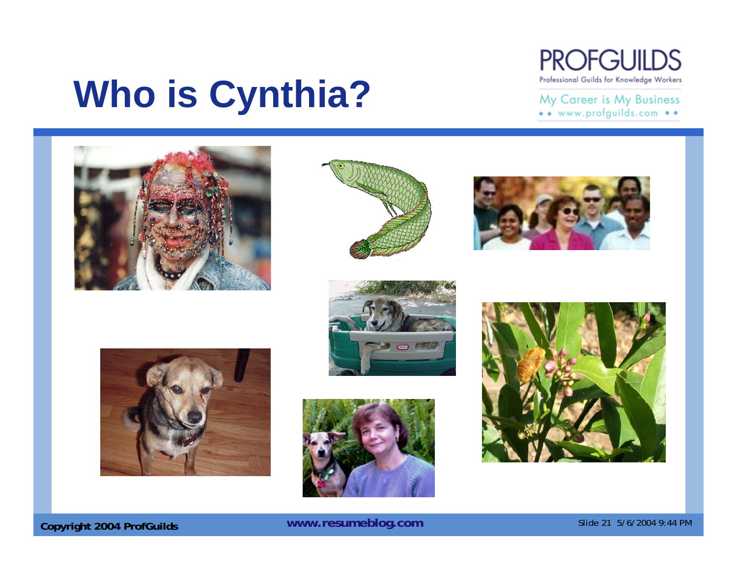

#### My Career is My Business \*\* www.profguilds.com \*\*

# **Who is Cynthia?**















**Copyright 2004 ProfGuilds WWW.resumeblog.com** Slide 21 5/6/2004 9:44 PM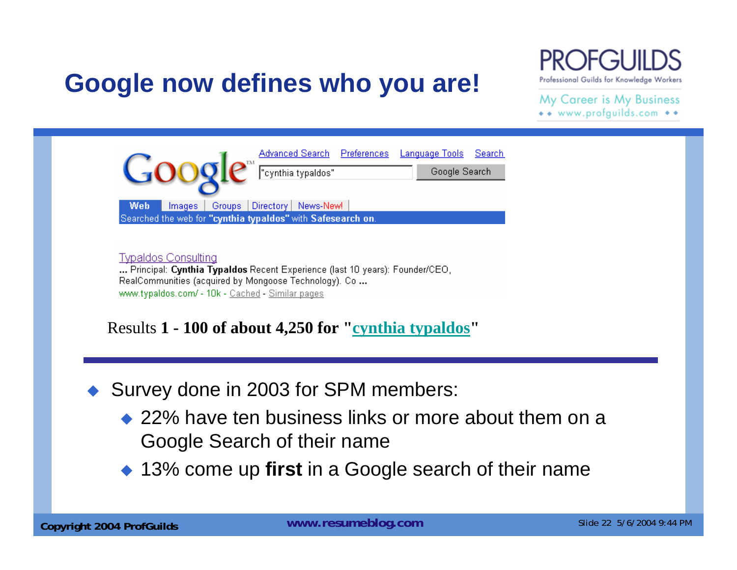### **Google now defines who you are!**

Professional Guilds for Knowledge Workers

My Career is My Business \*\* www.profguilds.com \*\*

www.typaldos.com/ - 10k - Cached - Similar pages

Results **1 - 100 of about 4,250 for "cynthia typaldos"**

♦ Survey done in 2003 for SPM members:

- ◆ 22% have ten business links or more about them on a Google Search of their name
- ◆ 13% come up first in a Google search of their name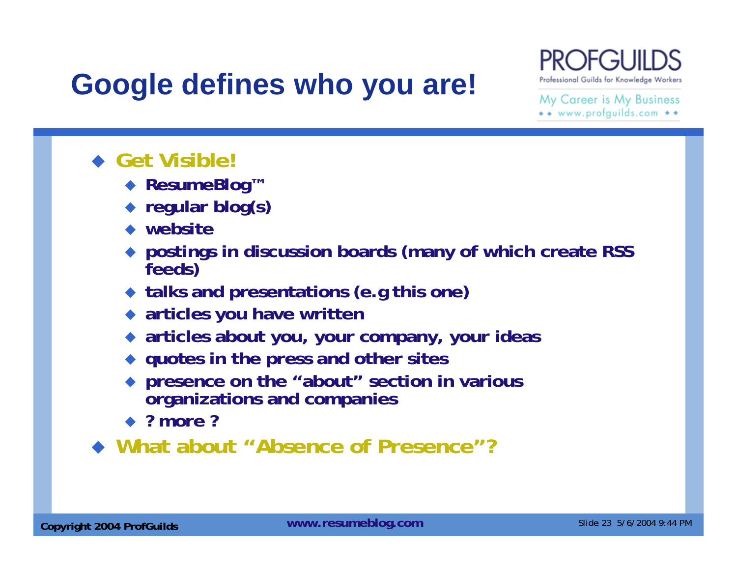# **Google defines who you are!**



My Career is My Business \*\* www.profguilds.com \*\*

- ◆ Get Visible!
	- ◆ ResumeBlog<sup>™</sup>
	- **regular blog(s)**
	- **website**
	- **postings in discussion boards (many of which create RSS feeds)**
	- **talks and presentations (e.g this one)**
	- **articles you have written**
	- **articles about you, your company, your ideas**
	- **quotes in the press and other sites**
	- **presence on the "about" section in various organizations and companies**
	- **? more ?**
- **What about "Absence of Presence"?**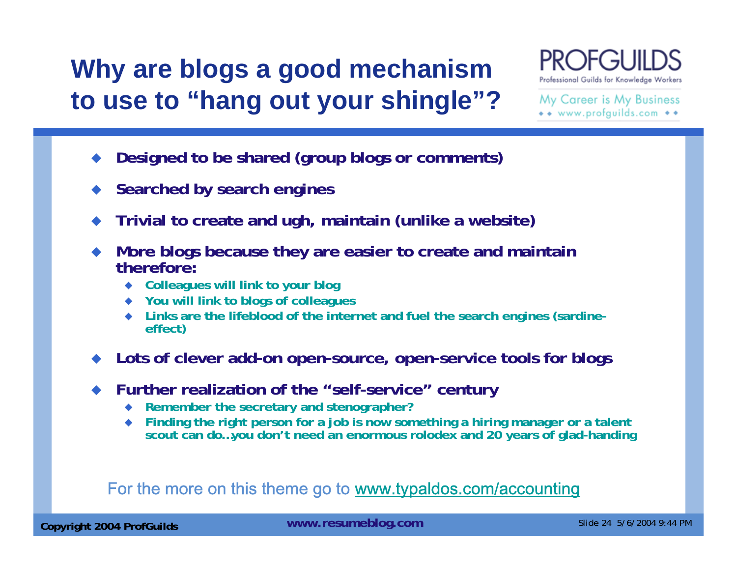## **Why are blogs a good mechanism to use to "hang out your shingle"?**



My Career is My Business \*\* www.profguilds.com \*\*

- ♦ **Designed to be shared (group blogs or comments)**
- ♦ **Searched by search engines**
- ◆ **Trivial to create and ugh, maintain (unlike a website)**
- ♦ **More blogs because they are easier to create and maintain therefore:**
	- ◆ **Colleagues will link to your blog**
	- ◆ **You will link to blogs of colleagues**
	- $\blacklozenge$ **Links are the lifeblood of the internet and fuel the search engines (sardine- effect)**
- **Lots of clever add-on open-source, open-service tools for blogs**
- ♦ **Further realization of the "self-service" century**
	- $\blacklozenge$ **Remember the secretary and stenographer?**
	- $\bullet$  **Finding the right person for a job is now something a hiring manager or a talent scout can do…you don't need an enormous rolodex and 20 years of glad-handing**

#### For the more on this theme go to www.typaldos.com/accounting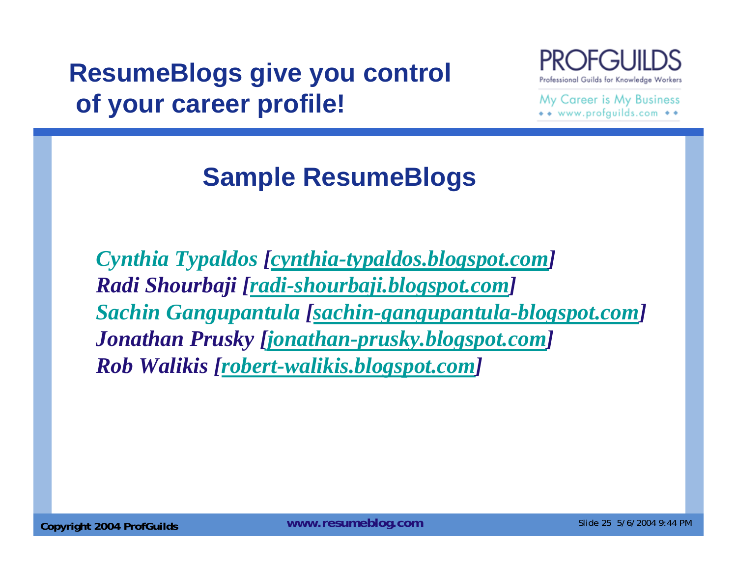## **ResumeBlogs give you control of your career profile!**



My Career is My Business \*\* www.profguilds.com \*\*

## **Sample ResumeBlogs**

*Cynthia Typaldos [cynthia-typaldos.blogspot.com] Radi Shourbaji [radi-shourbaji.blogspot.com] Sachin Gangupantula [sachin-gangupantula-blogspot.com] Jonathan Prusky [jonathan-prusky.blogspot.com] Rob Walikis [robert-walikis.blogspot.com]*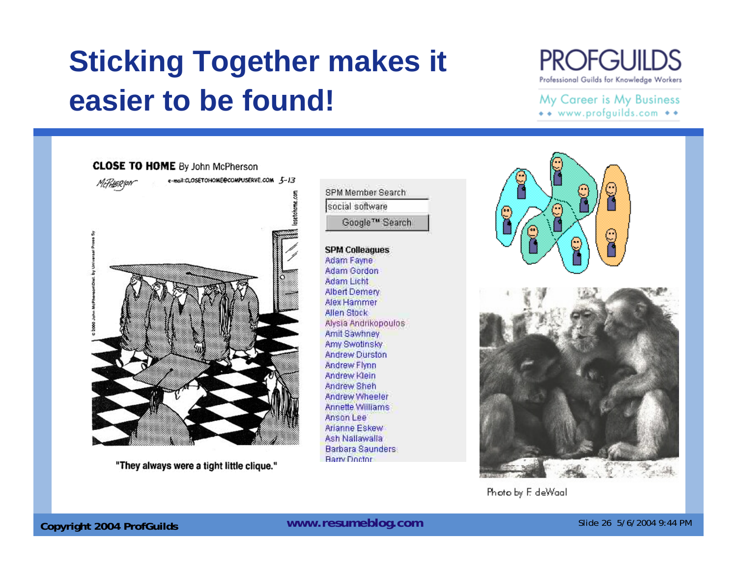# **Sticking Together makes it easier to be found!**

#### **PROFGUILDS** Professional Guilds for Knowledge Workers

#### My Career is My Business \*\* www.profguilds.com \*\*



"They always were a tight little clique."

SPM Member Search social software Google™ Search

**SPM Colleagues** Adam Fayne **Adam Gordon Adam Licht Albert Demery** Alex Hammer **Allen Stock** Alysia Andrikopoulos Amit Sawhney **Amy Swotinsky Andrew Durston** Andrew Flynn Andrew Klein **Andrew Sheh** Andrew Wheeler **Annette Williams** Anson Lee Arianne Eskew Ash Nallawalla **Barbara Saunders Barry Doctor** 



Photo by F. deWaal

**Copyright 2004 ProfGuilds WWW.resumeblog.com** Slide 26 5/6/2004 9:44 PM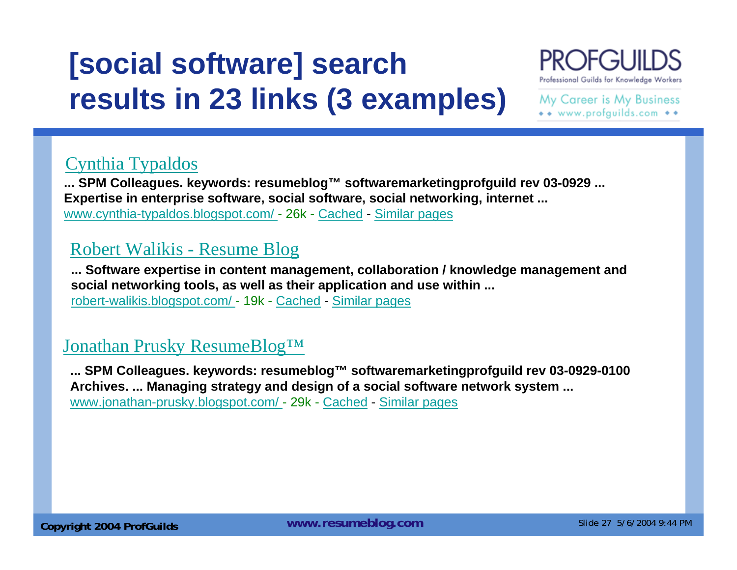# **[social software] search results in 23 links (3 examples)**



My Career is My Business \*\* www.profguilds.com \*\*

#### Cynthia Typaldos

**... SPM Colleagues. keywords: resumeblog™ softwaremarketingprofguild rev 03-0929 ... Expertise in enterprise software, social software, social networking, internet ...**  www.cynthia-typaldos.blogspot.com/ - 26k - Cached - Similar pages

#### Robert Walikis - Resume Blog

**... Software expertise in content management, collaboration / knowledge management and social networking tools, as well as their application and use within ...**  robert-walikis.blogspot.com/ - 19k - Cached - Similar pages

#### Jonathan Prusky ResumeBlog™

**... SPM Colleagues. keywords: resumeblog™ softwaremarketingprofguild rev 03-0929-0100 Archives. ... Managing strategy and design of a social software network system ...**  www.jonathan-prusky.blogspot.com/ - 29k - Cached - Similar pages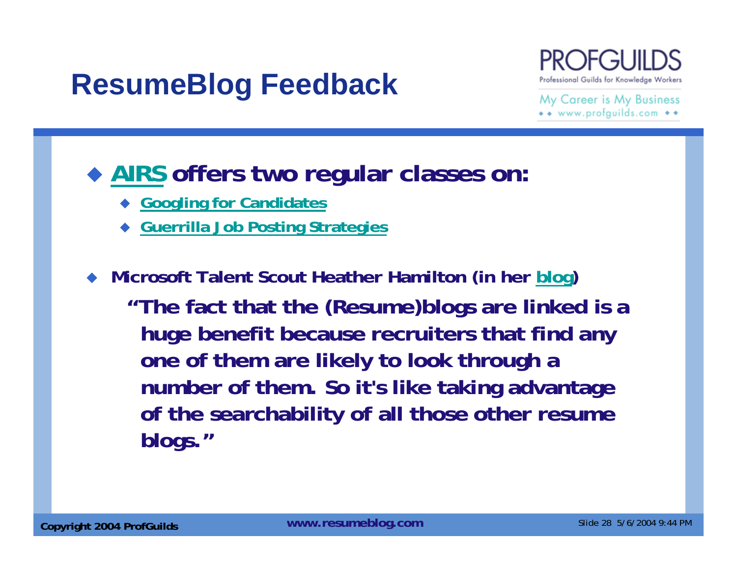## **ResumeBlog Feedback**



My Career is My Business \*\* www.profquilds.com \*\*

### **AIRS offers two regular classes on:**

- **Googling for Candidates**
- ♦ **Guerrilla Job Posting Strategies**

**Microsoft Talent Scout Heather Hamilton (in her blog)**

**"The fact that the (Resume)blogs are linked is a huge benefit because recruiters that find any one of them are likely to look through a number of them. So it's like taking advantage of the searchability of all those other resume blogs."**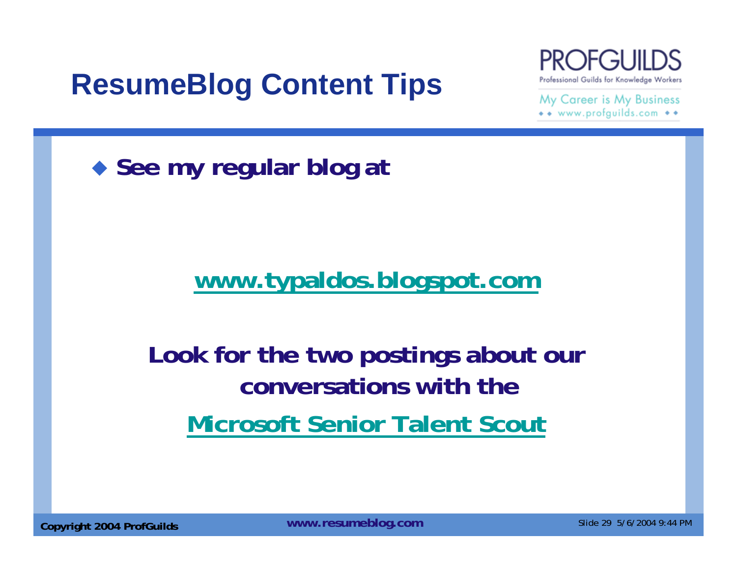# **ResumeBlog Content Tips**



My Career is My Business \*\* www.profguilds.com \*\*

◆ See my regular blog at

### **www.typaldos.blogspot.com**

## **Look for the two postings about our conversations with the Microsoft Senior Talent Scout**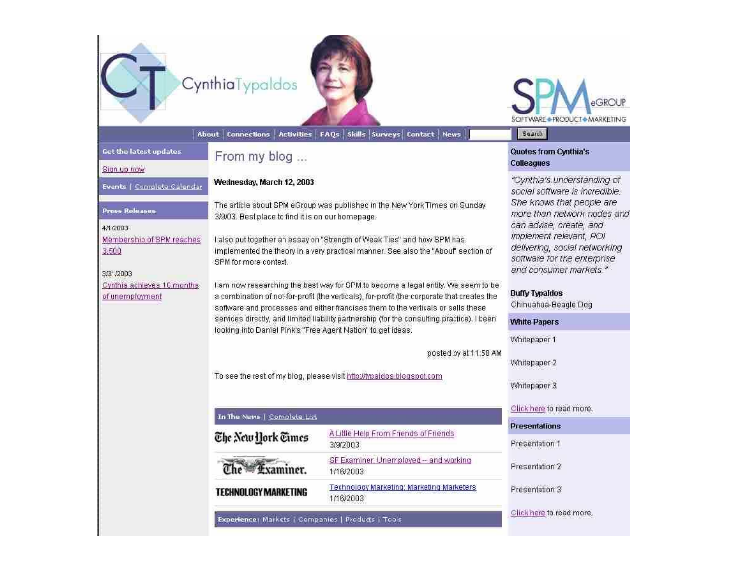| Get the latest updates                                                                                                                                              | CynthiaTypaldos<br><b>Activities</b><br><b>Cannections</b><br>About<br>From my blog                                                                                                                                                                                                                                                                                                                                                                                                                                                                                                                                                                                                                                                                                                                                   | Skills Surveys Contact News<br>FAQs                    | <b>* PRODUCT * MARKETING</b><br>Search<br>Quotes from Cynthia's                                                                                                                                                                                                                                                                                                                   |
|---------------------------------------------------------------------------------------------------------------------------------------------------------------------|-----------------------------------------------------------------------------------------------------------------------------------------------------------------------------------------------------------------------------------------------------------------------------------------------------------------------------------------------------------------------------------------------------------------------------------------------------------------------------------------------------------------------------------------------------------------------------------------------------------------------------------------------------------------------------------------------------------------------------------------------------------------------------------------------------------------------|--------------------------------------------------------|-----------------------------------------------------------------------------------------------------------------------------------------------------------------------------------------------------------------------------------------------------------------------------------------------------------------------------------------------------------------------------------|
| Sign up now                                                                                                                                                         |                                                                                                                                                                                                                                                                                                                                                                                                                                                                                                                                                                                                                                                                                                                                                                                                                       |                                                        | <b>Colleagues</b>                                                                                                                                                                                                                                                                                                                                                                 |
| Events   Complete Calendar<br><b>Press Releases</b><br>4/1/2003<br>Membership of SPM reaches<br>3,500<br>3/31/2003<br>Cynthia achieves 18 months<br>of unemployment | Wednesday, March 12, 2003<br>The article about SPM eGroup was published in the New York Times on Sunday<br>3/9/03. Best place to find it is on our homepage.<br>I also put together an essay on "Strength of Weak Ties" and how SPM has<br>implemented the theory in a very practical manner. See also the "About" section of<br>SPM for more context.<br>I am now researching the best way for SPM to become a legal entity. We seem to be<br>a combination of not-for-profit (the verticals), for-profit (the corporate that creates the<br>software and processes and either francises them to the verticals or sells these<br>services directly, and limited liability partnership (for the consulting practice). I been<br>looking into Daniel Pink's "Free Agent Nation" to get ideas.<br>posted by at 11:58 AM |                                                        | "Cynthia's understanding of<br>social software is incredible.<br>She knows that people are<br>more than network nodes and<br>can advise, create, and<br>implement relevant, ROI<br>delivering, social networking<br>software for the enterprise<br>and consumer markets."<br><b>Buffy TypaIdos</b><br>Chihuahua-Beagle Dog<br><b>White Papers</b><br>Whitepaper 1<br>Whitepaper 2 |
|                                                                                                                                                                     | To see the rest of my blog, please visit http://typaldos.blogspot.com<br>In The News   Complete List                                                                                                                                                                                                                                                                                                                                                                                                                                                                                                                                                                                                                                                                                                                  |                                                        | Whitepaper 3<br>Click here to read more.                                                                                                                                                                                                                                                                                                                                          |
|                                                                                                                                                                     |                                                                                                                                                                                                                                                                                                                                                                                                                                                                                                                                                                                                                                                                                                                                                                                                                       | A Little Help From Friends of Friends                  | <b>Presentations</b>                                                                                                                                                                                                                                                                                                                                                              |
|                                                                                                                                                                     | The New York Times                                                                                                                                                                                                                                                                                                                                                                                                                                                                                                                                                                                                                                                                                                                                                                                                    | 3/9/2003                                               | Presentation 1                                                                                                                                                                                                                                                                                                                                                                    |
|                                                                                                                                                                     | <b>gxammer.</b>                                                                                                                                                                                                                                                                                                                                                                                                                                                                                                                                                                                                                                                                                                                                                                                                       | SF Examiner: Unemployed -- and working<br>1/16/2003    | Presentation 2                                                                                                                                                                                                                                                                                                                                                                    |
|                                                                                                                                                                     | TECHNOLOGY MARKETING                                                                                                                                                                                                                                                                                                                                                                                                                                                                                                                                                                                                                                                                                                                                                                                                  | Technology Marketing, Marketing Marketers<br>1/16/2003 | Presentation 3                                                                                                                                                                                                                                                                                                                                                                    |
|                                                                                                                                                                     | Experience: Markets   Companies   Products   Tools                                                                                                                                                                                                                                                                                                                                                                                                                                                                                                                                                                                                                                                                                                                                                                    |                                                        | Click here to read more.                                                                                                                                                                                                                                                                                                                                                          |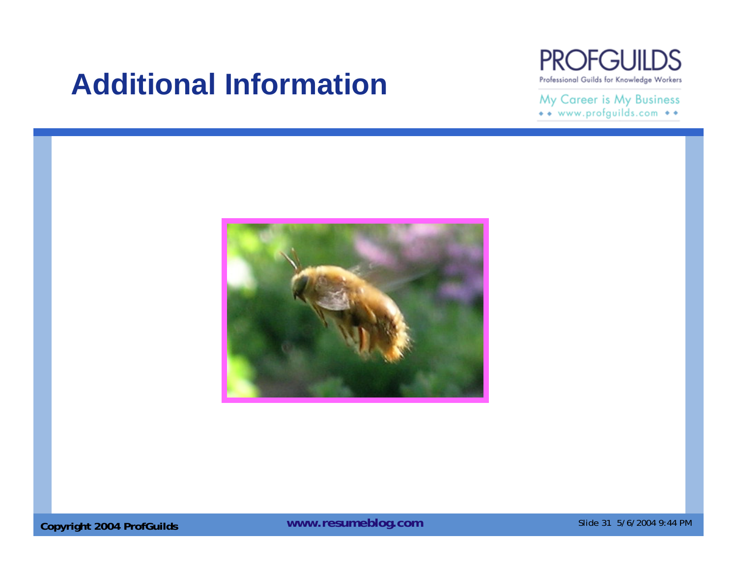## **Additional Information**



My Career is My Business \*\* www.profguilds.com \*\*



**Copyright 2004 ProfGuilds WWW.resumeblog.com** Slide 31 5/6/2004 9:44 PM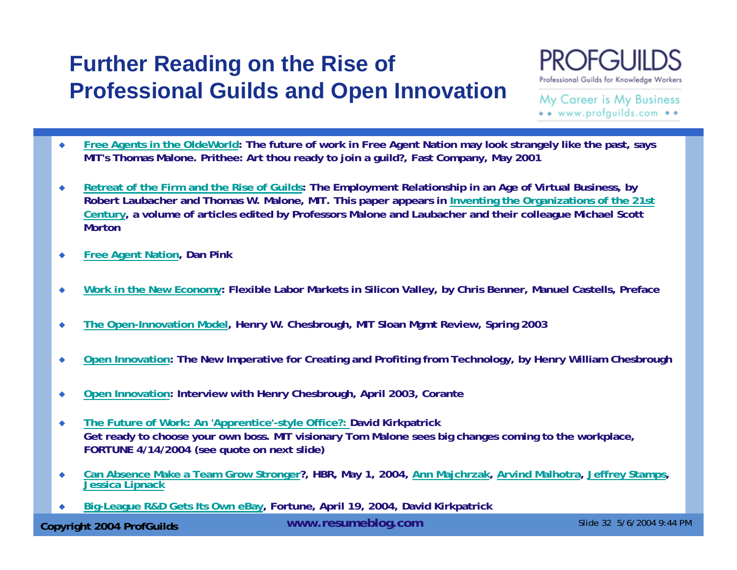### **Further Reading on the Rise of Professional Guilds and Open Innovation**



My Career is My Business \*\* www.profauilds.com \*\*

- ٠ **Free Agents in the OldeWorld: The future of work in Free Agent Nation may look strangely like the past, says MIT's Thomas Malone. Prithee: Art thou ready to join a guild?, Fast Company, May 2001**
- ۰ **Retreat of the Firm and the Rise of Guilds: The Employment Relationship in an Age of Virtual Business, by Robert Laubacher and Thomas W. Malone, MIT. This paper appears in Inventing the Organizations of the 21st Century, a volume of articles edited by Professors Malone and Laubacher and their colleague Michael Scott Morton**
- ٠ **Free Agent Nation, Dan Pink**
- ٠ **Work in the New Economy: Flexible Labor Markets in Silicon Valley, by Chris Benner, Manuel Castells, Preface**
- $\bullet$ **The Open-Innovation Model, Henry W. Chesbrough, MIT Sloan Mgmt Review, Spring 2003**
- ٠ **Open Innovation: The New Imperative for Creating and Profiting from Technology, by Henry William Chesbrough**
- $\blacklozenge$ **Open Innovation: Interview with Henry Chesbrough, April 2003, Corante**
- $\bullet$  **The Future of Work: An 'Apprentice'-style Office?: David Kirkpatrick Get ready to choose your own boss. MIT visionary Tom Malone sees big changes coming to the workplace, FORTUNE 4/14/2004 (see quote on next slide)**
- ٠ **Can Absence Make a Team Grow Stronger?, HBR, May 1, 2004, Ann Majchrzak, Arvind Malhotra, Jeffrey Stamps, Jessica Lipnack**
- ٠ **Big-League R&D Gets Its Own eBay, Fortune, April 19, 2004, David Kirkpatrick**